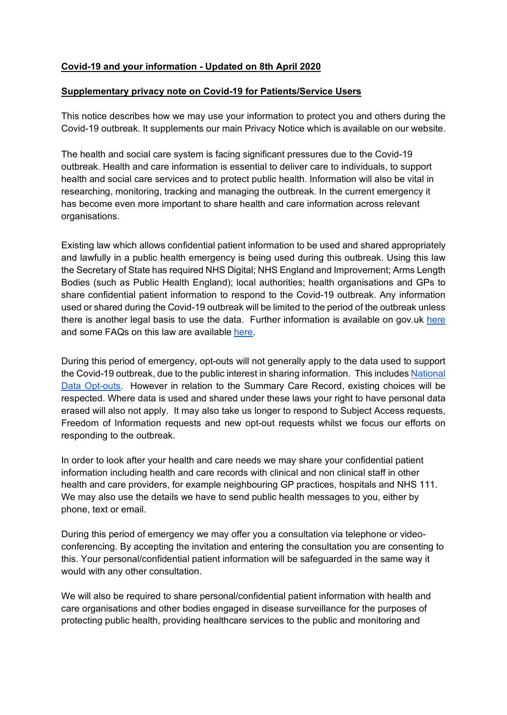## **Covid-19 and your information - Updated on 8th April 2020**

## **Supplementary privacy note on Covid-19 for Patients/Service Users**

This notice describes how we may use your information to protect you and others during the Covid-19 outbreak. It supplements our main Privacy Notice which is available on our website.

The health and social care system is facing significant pressures due to the Covid-19 outbreak. Health and care information is essential to deliver care to individuals, to support health and social care services and to protect public health. Information will also be vital in researching, monitoring, tracking and managing the outbreak. In the current emergency it has become even more important to share health and care information across relevant organisations.

Existing law which allows confidential patient information to be used and shared appropriately and lawfully in a public health emergency is being used during this outbreak. Using this law the Secretary of State has required NHS Digital; NHS England and Improvement; Arms Length Bodies (such as Public Health England); local authorities; health organisations and GPs to share confidential patient information to respond to the Covid-19 outbreak. Any information used or shared during the Covid-19 outbreak will be limited to the period of the outbreak unless there is another legal basis to use the data. Further information is available on gov.uk [here](https://www.gov.uk/government/publications/coronavirus-covid-19-notification-of-data-controllers-to-share-information?utm_source=d05aa30e-95d2-48e3-93e0-0a696c35bd3c&utm_medium=email&utm_campaign=govuk-notifications&utm_content=immediate) and some FAQs on this law are available [here.](https://www.nhsx.nhs.uk/key-information-and-tools/information-governance-guidance/COPI-notice-FAQs)

During this period of emergency, opt-outs will not generally apply to the data used to support the Covid-19 outbreak, due to the public interest in sharing information. This include[s](https://www.nhs.uk/your-nhs-data-matters/) [National](https://www.nhs.uk/your-nhs-data-matters/)  [Data Opt-outs.](https://www.nhs.uk/your-nhs-data-matters/) However in relation to the Summary Care Record, existing choices will be respected. Where data is used and shared under these laws your right to have personal data erased will also not apply. It may also take us longer to respond to Subject Access requests, Freedom of Information requests and new opt-out requests whilst we focus our efforts on responding to the outbreak.

In order to look after your health and care needs we may share your confidential patient information including health and care records with clinical and non clinical staff in other health and care providers, for example neighbouring GP practices, hospitals and NHS 111. We may also use the details we have to send public health messages to you, either by phone, text or email.

During this period of emergency we may offer you a consultation via telephone or videoconferencing. By accepting the invitation and entering the consultation you are consenting to this. Your personal/confidential patient information will be safeguarded in the same way it would with any other consultation.

We will also be required to share personal/confidential patient information with health and care organisations and other bodies engaged in disease surveillance for the purposes of protecting public health, providing healthcare services to the public and monitoring and